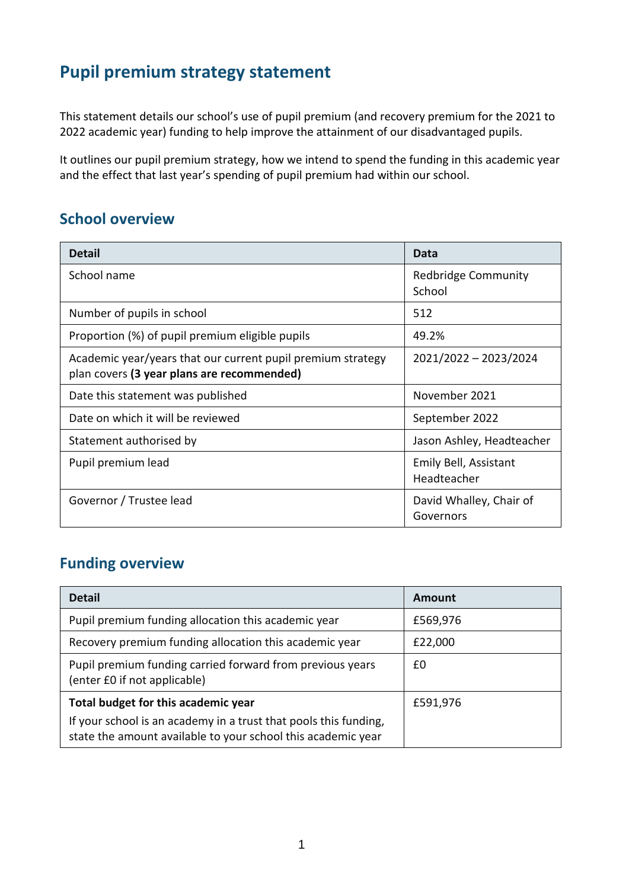# **Pupil premium strategy statement**

This statement details our school's use of pupil premium (and recovery premium for the 2021 to 2022 academic year) funding to help improve the attainment of our disadvantaged pupils.

It outlines our pupil premium strategy, how we intend to spend the funding in this academic year and the effect that last year's spending of pupil premium had within our school.

### **School overview**

| <b>Detail</b>                                                                                             | Data                                 |
|-----------------------------------------------------------------------------------------------------------|--------------------------------------|
| School name                                                                                               | Redbridge Community<br>School        |
| Number of pupils in school                                                                                | 512                                  |
| Proportion (%) of pupil premium eligible pupils                                                           | 49.2%                                |
| Academic year/years that our current pupil premium strategy<br>plan covers (3 year plans are recommended) | 2021/2022 - 2023/2024                |
| Date this statement was published                                                                         | November 2021                        |
| Date on which it will be reviewed                                                                         | September 2022                       |
| Statement authorised by                                                                                   | Jason Ashley, Headteacher            |
| Pupil premium lead                                                                                        | Emily Bell, Assistant<br>Headteacher |
| Governor / Trustee lead                                                                                   | David Whalley, Chair of<br>Governors |

## **Funding overview**

| <b>Detail</b>                                                                                                                    | Amount   |
|----------------------------------------------------------------------------------------------------------------------------------|----------|
| Pupil premium funding allocation this academic year                                                                              | £569,976 |
| Recovery premium funding allocation this academic year                                                                           | £22,000  |
| Pupil premium funding carried forward from previous years<br>(enter £0 if not applicable)                                        | £0       |
| Total budget for this academic year                                                                                              | £591,976 |
| If your school is an academy in a trust that pools this funding,<br>state the amount available to your school this academic year |          |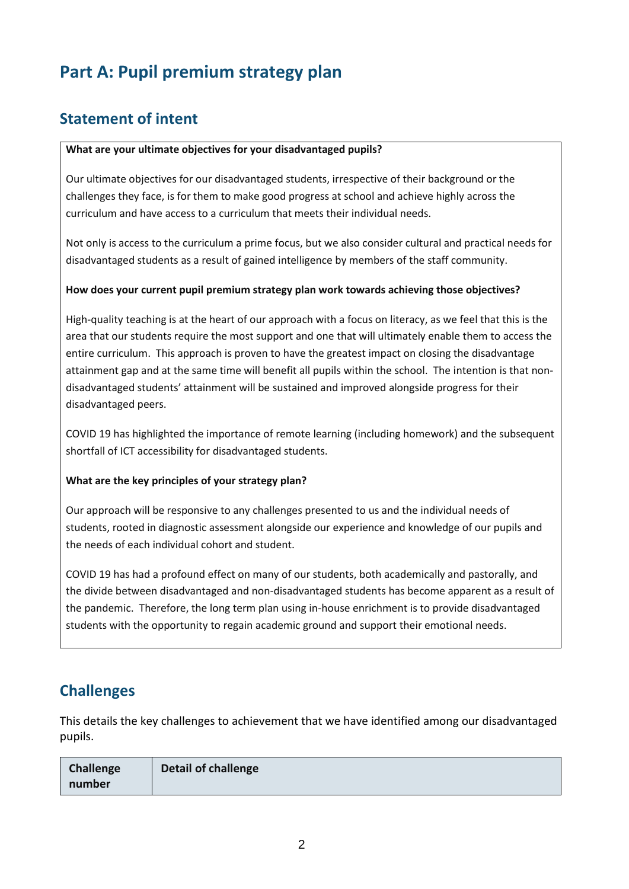# **Part A: Pupil premium strategy plan**

## **Statement of intent**

#### **What are your ultimate objectives for your disadvantaged pupils?**

Our ultimate objectives for our disadvantaged students, irrespective of their background or the challenges they face, is for them to make good progress at school and achieve highly across the curriculum and have access to a curriculum that meets their individual needs.

Not only is access to the curriculum a prime focus, but we also consider cultural and practical needs for disadvantaged students as a result of gained intelligence by members of the staff community.

#### **How does your current pupil premium strategy plan work towards achieving those objectives?**

High-quality teaching is at the heart of our approach with a focus on literacy, as we feel that this is the area that our students require the most support and one that will ultimately enable them to access the entire curriculum. This approach is proven to have the greatest impact on closing the disadvantage attainment gap and at the same time will benefit all pupils within the school. The intention is that nondisadvantaged students' attainment will be sustained and improved alongside progress for their disadvantaged peers.

COVID 19 has highlighted the importance of remote learning (including homework) and the subsequent shortfall of ICT accessibility for disadvantaged students.

#### **What are the key principles of your strategy plan?**

Our approach will be responsive to any challenges presented to us and the individual needs of students, rooted in diagnostic assessment alongside our experience and knowledge of our pupils and the needs of each individual cohort and student.

COVID 19 has had a profound effect on many of our students, both academically and pastorally, and the divide between disadvantaged and non-disadvantaged students has become apparent as a result of the pandemic. Therefore, the long term plan using in-house enrichment is to provide disadvantaged students with the opportunity to regain academic ground and support their emotional needs.

### **Challenges**

This details the key challenges to achievement that we have identified among our disadvantaged pupils.

| Challenge | Detail of challenge |
|-----------|---------------------|
| number    |                     |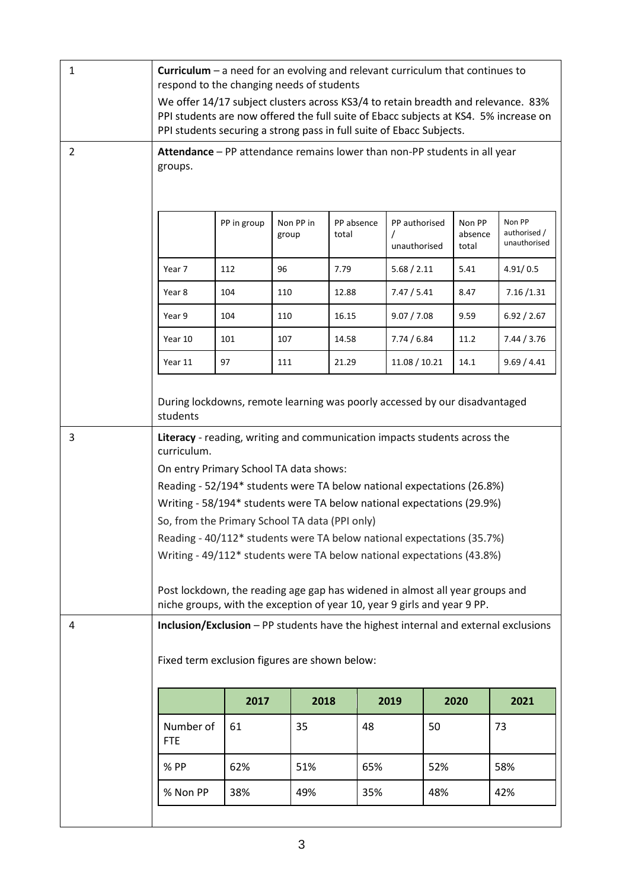| 1              | Curriculum $-$ a need for an evolving and relevant curriculum that continues to<br>respond to the changing needs of students<br>We offer 14/17 subject clusters across KS3/4 to retain breadth and relevance. 83%<br>PPI students are now offered the full suite of Ebacc subjects at KS4. 5% increase on<br>PPI students securing a strong pass in full suite of Ebacc Subjects.                                                                                                                                                                                                                                                                        |     |     |       |               |      |             |
|----------------|----------------------------------------------------------------------------------------------------------------------------------------------------------------------------------------------------------------------------------------------------------------------------------------------------------------------------------------------------------------------------------------------------------------------------------------------------------------------------------------------------------------------------------------------------------------------------------------------------------------------------------------------------------|-----|-----|-------|---------------|------|-------------|
| $\overline{2}$ | Attendance - PP attendance remains lower than non-PP students in all year<br>groups.                                                                                                                                                                                                                                                                                                                                                                                                                                                                                                                                                                     |     |     |       |               |      |             |
|                | Non PP<br>PP in group<br>Non PP in<br>PP absence<br>PP authorised<br>Non PP<br>authorised /<br>total<br>absence<br>group<br>unauthorised<br>unauthorised<br>total                                                                                                                                                                                                                                                                                                                                                                                                                                                                                        |     |     |       |               |      |             |
|                | Year 7                                                                                                                                                                                                                                                                                                                                                                                                                                                                                                                                                                                                                                                   | 112 | 96  | 7.79  | 5.68 / 2.11   | 5.41 | 4.91/0.5    |
|                | Year 8                                                                                                                                                                                                                                                                                                                                                                                                                                                                                                                                                                                                                                                   | 104 | 110 | 12.88 | 7.47 / 5.41   | 8.47 | 7.16 / 1.31 |
|                | Year 9                                                                                                                                                                                                                                                                                                                                                                                                                                                                                                                                                                                                                                                   | 104 | 110 | 16.15 | 9.07 / 7.08   | 9.59 | 6.92 / 2.67 |
|                | Year 10                                                                                                                                                                                                                                                                                                                                                                                                                                                                                                                                                                                                                                                  | 101 | 107 | 14.58 | 7.74/6.84     | 11.2 | 7.44 / 3.76 |
|                | Year 11                                                                                                                                                                                                                                                                                                                                                                                                                                                                                                                                                                                                                                                  | 97  | 111 | 21.29 | 11.08 / 10.21 | 14.1 | 9.69 / 4.41 |
|                | During lockdowns, remote learning was poorly accessed by our disadvantaged<br>students                                                                                                                                                                                                                                                                                                                                                                                                                                                                                                                                                                   |     |     |       |               |      |             |
| 3              | Literacy - reading, writing and communication impacts students across the<br>curriculum.<br>On entry Primary School TA data shows:<br>Reading - 52/194* students were TA below national expectations (26.8%)<br>Writing - 58/194* students were TA below national expectations (29.9%)<br>So, from the Primary School TA data (PPI only)<br>Reading - 40/112* students were TA below national expectations (35.7%)<br>Writing - 49/112* students were TA below national expectations (43.8%)<br>Post lockdown, the reading age gap has widened in almost all year groups and<br>niche groups, with the exception of year 10, year 9 girls and year 9 PP. |     |     |       |               |      |             |
| 4              | Inclusion/Exclusion - PP students have the highest internal and external exclusions<br>Fixed term exclusion figures are shown below:                                                                                                                                                                                                                                                                                                                                                                                                                                                                                                                     |     |     |       |               |      |             |
|                | 2017<br>2018<br>2019<br>2020<br>2021                                                                                                                                                                                                                                                                                                                                                                                                                                                                                                                                                                                                                     |     |     |       |               |      |             |
|                | Number of<br><b>FTE</b>                                                                                                                                                                                                                                                                                                                                                                                                                                                                                                                                                                                                                                  | 61  | 35  | 48    | 50            |      | 73          |
|                | % PP                                                                                                                                                                                                                                                                                                                                                                                                                                                                                                                                                                                                                                                     | 62% | 51% | 65%   |               | 52%  | 58%         |
|                | % Non PP<br>38%<br>49%<br>35%<br>48%<br>42%                                                                                                                                                                                                                                                                                                                                                                                                                                                                                                                                                                                                              |     |     |       |               |      |             |
|                |                                                                                                                                                                                                                                                                                                                                                                                                                                                                                                                                                                                                                                                          |     |     |       |               |      |             |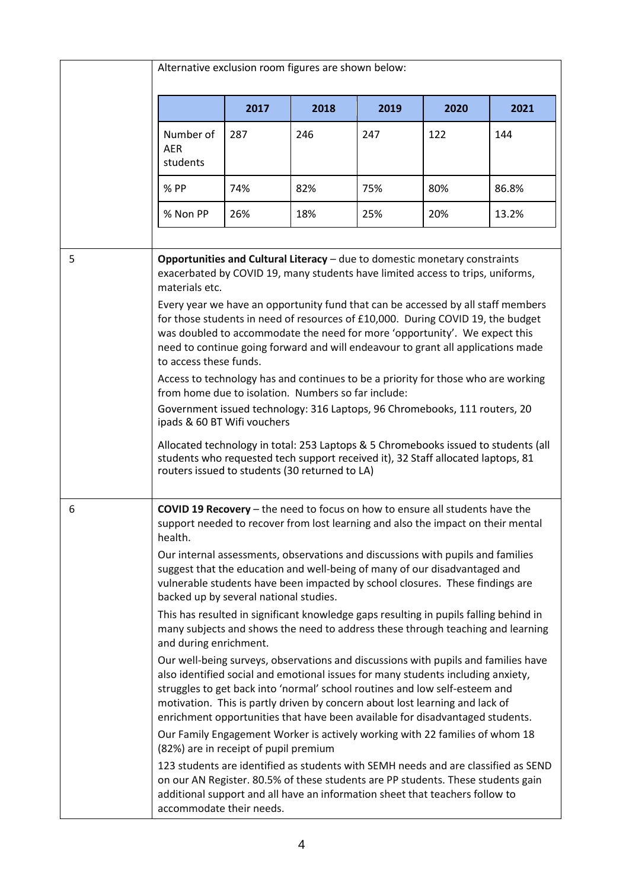|   | Alternative exclusion room figures are shown below:                                                                                              |                                                                                                                                                                                                                                                                                                                                                                                                                                                                                                                                                                                                                                                                                                                                                                                                                                                                                                                                                                                                                      |      |                                                                                                                                                                                                                                                                                                                                                                                                                                                                                                                                                                                                                                                                                                                                                                                                                                                                                                                                                                                                                                                                                                     |      |                                                                                                                                                                                                                                                             |
|---|--------------------------------------------------------------------------------------------------------------------------------------------------|----------------------------------------------------------------------------------------------------------------------------------------------------------------------------------------------------------------------------------------------------------------------------------------------------------------------------------------------------------------------------------------------------------------------------------------------------------------------------------------------------------------------------------------------------------------------------------------------------------------------------------------------------------------------------------------------------------------------------------------------------------------------------------------------------------------------------------------------------------------------------------------------------------------------------------------------------------------------------------------------------------------------|------|-----------------------------------------------------------------------------------------------------------------------------------------------------------------------------------------------------------------------------------------------------------------------------------------------------------------------------------------------------------------------------------------------------------------------------------------------------------------------------------------------------------------------------------------------------------------------------------------------------------------------------------------------------------------------------------------------------------------------------------------------------------------------------------------------------------------------------------------------------------------------------------------------------------------------------------------------------------------------------------------------------------------------------------------------------------------------------------------------------|------|-------------------------------------------------------------------------------------------------------------------------------------------------------------------------------------------------------------------------------------------------------------|
|   |                                                                                                                                                  | 2017                                                                                                                                                                                                                                                                                                                                                                                                                                                                                                                                                                                                                                                                                                                                                                                                                                                                                                                                                                                                                 | 2018 | 2019                                                                                                                                                                                                                                                                                                                                                                                                                                                                                                                                                                                                                                                                                                                                                                                                                                                                                                                                                                                                                                                                                                | 2020 | 2021                                                                                                                                                                                                                                                        |
|   | Number of<br><b>AER</b><br>students                                                                                                              | 287                                                                                                                                                                                                                                                                                                                                                                                                                                                                                                                                                                                                                                                                                                                                                                                                                                                                                                                                                                                                                  | 246  | 247                                                                                                                                                                                                                                                                                                                                                                                                                                                                                                                                                                                                                                                                                                                                                                                                                                                                                                                                                                                                                                                                                                 | 122  | 144                                                                                                                                                                                                                                                         |
|   | % PP                                                                                                                                             | 74%                                                                                                                                                                                                                                                                                                                                                                                                                                                                                                                                                                                                                                                                                                                                                                                                                                                                                                                                                                                                                  | 82%  | 75%                                                                                                                                                                                                                                                                                                                                                                                                                                                                                                                                                                                                                                                                                                                                                                                                                                                                                                                                                                                                                                                                                                 | 80%  | 86.8%                                                                                                                                                                                                                                                       |
|   | % Non PP                                                                                                                                         | 26%                                                                                                                                                                                                                                                                                                                                                                                                                                                                                                                                                                                                                                                                                                                                                                                                                                                                                                                                                                                                                  | 18%  | 25%                                                                                                                                                                                                                                                                                                                                                                                                                                                                                                                                                                                                                                                                                                                                                                                                                                                                                                                                                                                                                                                                                                 | 20%  | 13.2%                                                                                                                                                                                                                                                       |
| 5 | materials etc.                                                                                                                                   | Opportunities and Cultural Literacy - due to domestic monetary constraints<br>exacerbated by COVID 19, many students have limited access to trips, uniforms,<br>Every year we have an opportunity fund that can be accessed by all staff members<br>for those students in need of resources of £10,000. During COVID 19, the budget<br>was doubled to accommodate the need for more 'opportunity'. We expect this<br>need to continue going forward and will endeavour to grant all applications made<br>to access these funds.<br>Access to technology has and continues to be a priority for those who are working<br>from home due to isolation. Numbers so far include:<br>Government issued technology: 316 Laptops, 96 Chromebooks, 111 routers, 20<br>ipads & 60 BT Wifi vouchers<br>Allocated technology in total: 253 Laptops & 5 Chromebooks issued to students (all<br>students who requested tech support received it), 32 Staff allocated laptops, 81<br>routers issued to students (30 returned to LA) |      |                                                                                                                                                                                                                                                                                                                                                                                                                                                                                                                                                                                                                                                                                                                                                                                                                                                                                                                                                                                                                                                                                                     |      |                                                                                                                                                                                                                                                             |
| 6 | health.<br>backed up by several national studies.<br>and during enrichment.<br>(82%) are in receipt of pupil premium<br>accommodate their needs. |                                                                                                                                                                                                                                                                                                                                                                                                                                                                                                                                                                                                                                                                                                                                                                                                                                                                                                                                                                                                                      |      | COVID 19 Recovery - the need to focus on how to ensure all students have the<br>support needed to recover from lost learning and also the impact on their mental<br>Our internal assessments, observations and discussions with pupils and families<br>suggest that the education and well-being of many of our disadvantaged and<br>vulnerable students have been impacted by school closures. These findings are<br>This has resulted in significant knowledge gaps resulting in pupils falling behind in<br>also identified social and emotional issues for many students including anxiety,<br>struggles to get back into 'normal' school routines and low self-esteem and<br>motivation. This is partly driven by concern about lost learning and lack of<br>enrichment opportunities that have been available for disadvantaged students.<br>Our Family Engagement Worker is actively working with 22 families of whom 18<br>on our AN Register. 80.5% of these students are PP students. These students gain<br>additional support and all have an information sheet that teachers follow to |      | many subjects and shows the need to address these through teaching and learning<br>Our well-being surveys, observations and discussions with pupils and families have<br>123 students are identified as students with SEMH needs and are classified as SEND |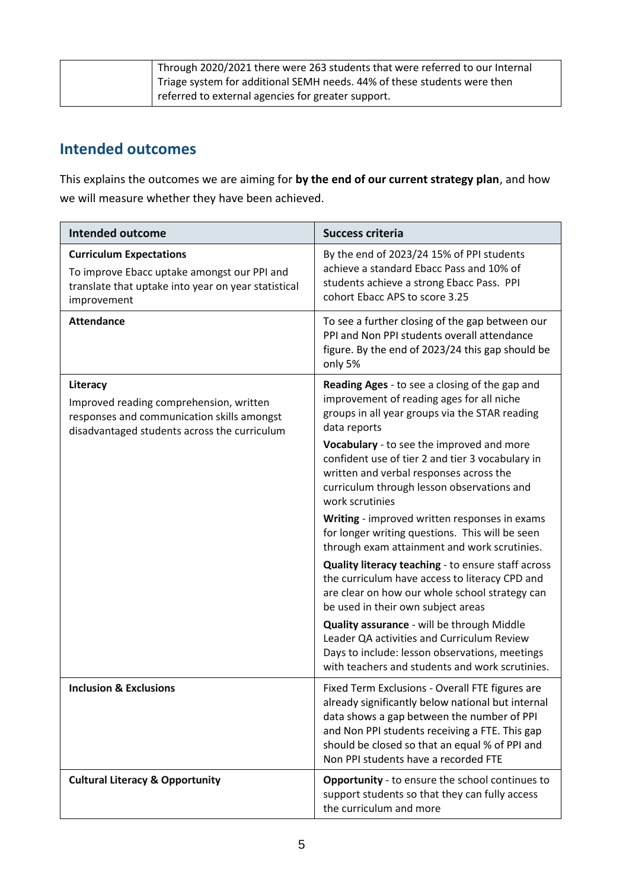| Through 2020/2021 there were 263 students that were referred to our Internal |
|------------------------------------------------------------------------------|
| Triage system for additional SEMH needs. 44% of these students were then     |
| referred to external agencies for greater support.                           |

## **Intended outcomes**

This explains the outcomes we are aiming for **by the end of our current strategy plan**, and how we will measure whether they have been achieved.

| <b>Intended outcome</b>                                                                                                                             | <b>Success criteria</b>                                                                                                                                                                                                                                                                        |
|-----------------------------------------------------------------------------------------------------------------------------------------------------|------------------------------------------------------------------------------------------------------------------------------------------------------------------------------------------------------------------------------------------------------------------------------------------------|
| <b>Curriculum Expectations</b><br>To improve Ebacc uptake amongst our PPI and<br>translate that uptake into year on year statistical<br>improvement | By the end of 2023/24 15% of PPI students<br>achieve a standard Ebacc Pass and 10% of<br>students achieve a strong Ebacc Pass. PPI<br>cohort Ebacc APS to score 3.25                                                                                                                           |
| <b>Attendance</b>                                                                                                                                   | To see a further closing of the gap between our<br>PPI and Non PPI students overall attendance<br>figure. By the end of 2023/24 this gap should be<br>only 5%                                                                                                                                  |
| Literacy<br>Improved reading comprehension, written<br>responses and communication skills amongst<br>disadvantaged students across the curriculum   | Reading Ages - to see a closing of the gap and<br>improvement of reading ages for all niche<br>groups in all year groups via the STAR reading<br>data reports                                                                                                                                  |
|                                                                                                                                                     | Vocabulary - to see the improved and more<br>confident use of tier 2 and tier 3 vocabulary in<br>written and verbal responses across the<br>curriculum through lesson observations and<br>work scrutinies                                                                                      |
|                                                                                                                                                     | Writing - improved written responses in exams<br>for longer writing questions. This will be seen<br>through exam attainment and work scrutinies.                                                                                                                                               |
|                                                                                                                                                     | Quality literacy teaching - to ensure staff across<br>the curriculum have access to literacy CPD and<br>are clear on how our whole school strategy can<br>be used in their own subject areas                                                                                                   |
|                                                                                                                                                     | Quality assurance - will be through Middle<br>Leader QA activities and Curriculum Review<br>Days to include: lesson observations, meetings<br>with teachers and students and work scrutinies.                                                                                                  |
| <b>Inclusion &amp; Exclusions</b>                                                                                                                   | Fixed Term Exclusions - Overall FTE figures are<br>already significantly below national but internal<br>data shows a gap between the number of PPI<br>and Non PPI students receiving a FTE. This gap<br>should be closed so that an equal % of PPI and<br>Non PPI students have a recorded FTE |
| <b>Cultural Literacy &amp; Opportunity</b>                                                                                                          | <b>Opportunity</b> - to ensure the school continues to<br>support students so that they can fully access<br>the curriculum and more                                                                                                                                                            |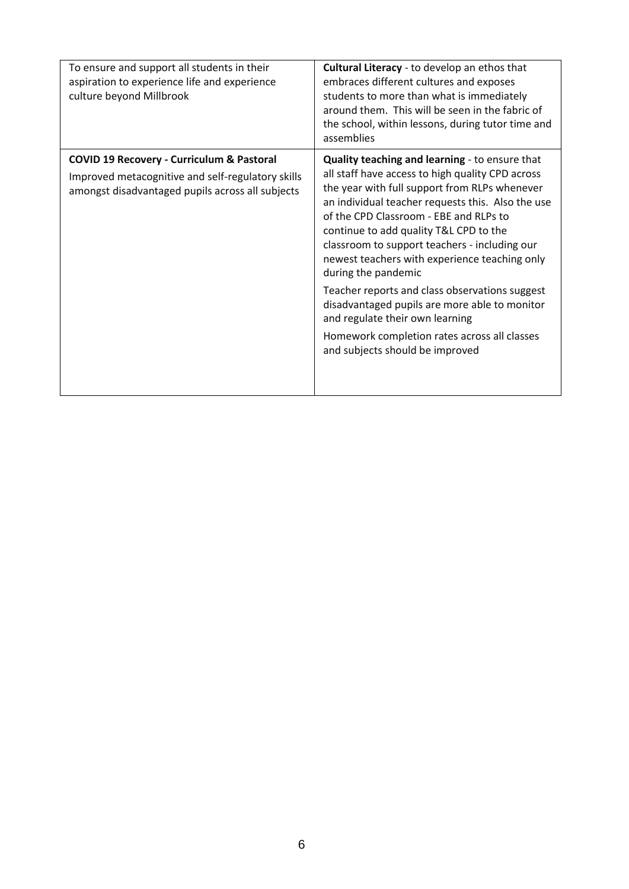| To ensure and support all students in their<br>aspiration to experience life and experience<br>culture beyond Millbrook                                       | Cultural Literacy - to develop an ethos that<br>embraces different cultures and exposes<br>students to more than what is immediately<br>around them. This will be seen in the fabric of<br>the school, within lessons, during tutor time and<br>assemblies                                                                                                                                                                                                                                                                                                                                                                                     |
|---------------------------------------------------------------------------------------------------------------------------------------------------------------|------------------------------------------------------------------------------------------------------------------------------------------------------------------------------------------------------------------------------------------------------------------------------------------------------------------------------------------------------------------------------------------------------------------------------------------------------------------------------------------------------------------------------------------------------------------------------------------------------------------------------------------------|
| <b>COVID 19 Recovery - Curriculum &amp; Pastoral</b><br>Improved metacognitive and self-regulatory skills<br>amongst disadvantaged pupils across all subjects | Quality teaching and learning - to ensure that<br>all staff have access to high quality CPD across<br>the year with full support from RLPs whenever<br>an individual teacher requests this. Also the use<br>of the CPD Classroom - EBE and RLPs to<br>continue to add quality T&L CPD to the<br>classroom to support teachers - including our<br>newest teachers with experience teaching only<br>during the pandemic<br>Teacher reports and class observations suggest<br>disadvantaged pupils are more able to monitor<br>and regulate their own learning<br>Homework completion rates across all classes<br>and subjects should be improved |
|                                                                                                                                                               |                                                                                                                                                                                                                                                                                                                                                                                                                                                                                                                                                                                                                                                |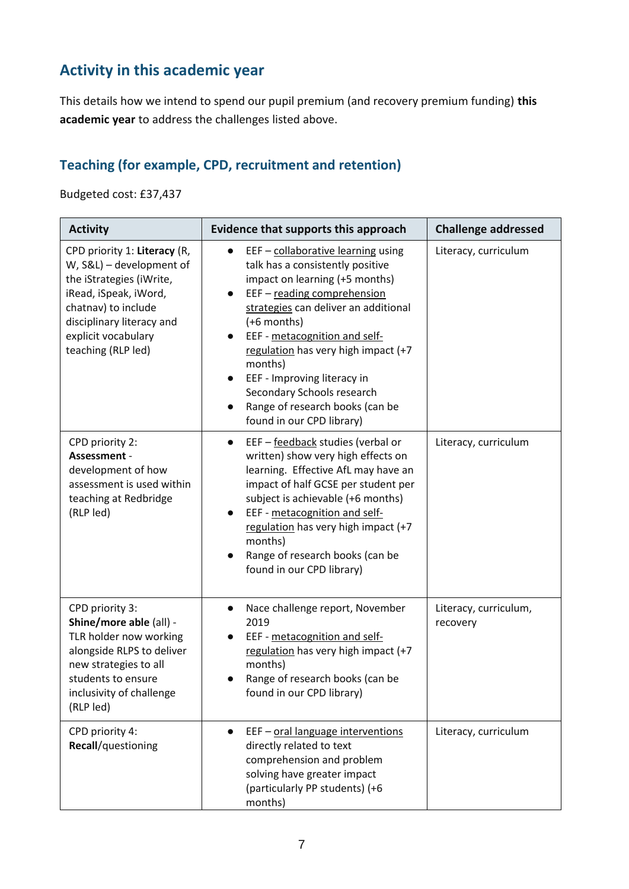# **Activity in this academic year**

This details how we intend to spend our pupil premium (and recovery premium funding) **this academic year** to address the challenges listed above.

### **Teaching (for example, CPD, recruitment and retention)**

Budgeted cost: £37,437

| <b>Activity</b>                                                                                                                                                                                                | Evidence that supports this approach                                                                                                                                                                                                                                                                                                                                                                                                                               | <b>Challenge addressed</b>        |  |
|----------------------------------------------------------------------------------------------------------------------------------------------------------------------------------------------------------------|--------------------------------------------------------------------------------------------------------------------------------------------------------------------------------------------------------------------------------------------------------------------------------------------------------------------------------------------------------------------------------------------------------------------------------------------------------------------|-----------------------------------|--|
| CPD priority 1: Literacy (R,<br>W, S&L) - development of<br>the iStrategies (iWrite,<br>iRead, iSpeak, iWord,<br>chatnav) to include<br>disciplinary literacy and<br>explicit vocabulary<br>teaching (RLP led) | EEF - collaborative learning using<br>$\bullet$<br>talk has a consistently positive<br>impact on learning (+5 months)<br>EEF - reading comprehension<br>$\bullet$<br>strategies can deliver an additional<br>(+6 months)<br>EEF - metacognition and self-<br>$\bullet$<br>regulation has very high impact (+7<br>months)<br>EEF - Improving literacy in<br>$\bullet$<br>Secondary Schools research<br>Range of research books (can be<br>found in our CPD library) | Literacy, curriculum              |  |
| CPD priority 2:<br>Assessment -<br>development of how<br>assessment is used within<br>teaching at Redbridge<br>(RLP led)                                                                                       | EEF - feedback studies (verbal or<br>$\bullet$<br>written) show very high effects on<br>learning. Effective AfL may have an<br>impact of half GCSE per student per<br>subject is achievable (+6 months)<br>EEF - metacognition and self-<br>$\bullet$<br>regulation has very high impact (+7<br>months)<br>Range of research books (can be<br>found in our CPD library)                                                                                            | Literacy, curriculum              |  |
| CPD priority 3:<br>Shine/more able (all) -<br>TLR holder now working<br>alongside RLPS to deliver<br>new strategies to all<br>students to ensure<br>inclusivity of challenge<br>(RLP led)                      | Nace challenge report, November<br>$\bullet$<br>2019<br>EEF - metacognition and self-<br>regulation has very high impact (+7<br>months)<br>Range of research books (can be<br>found in our CPD library)                                                                                                                                                                                                                                                            | Literacy, curriculum,<br>recovery |  |
| CPD priority 4:<br>Recall/questioning                                                                                                                                                                          | EEF - oral language interventions<br>directly related to text<br>comprehension and problem<br>solving have greater impact<br>(particularly PP students) (+6<br>months)                                                                                                                                                                                                                                                                                             | Literacy, curriculum              |  |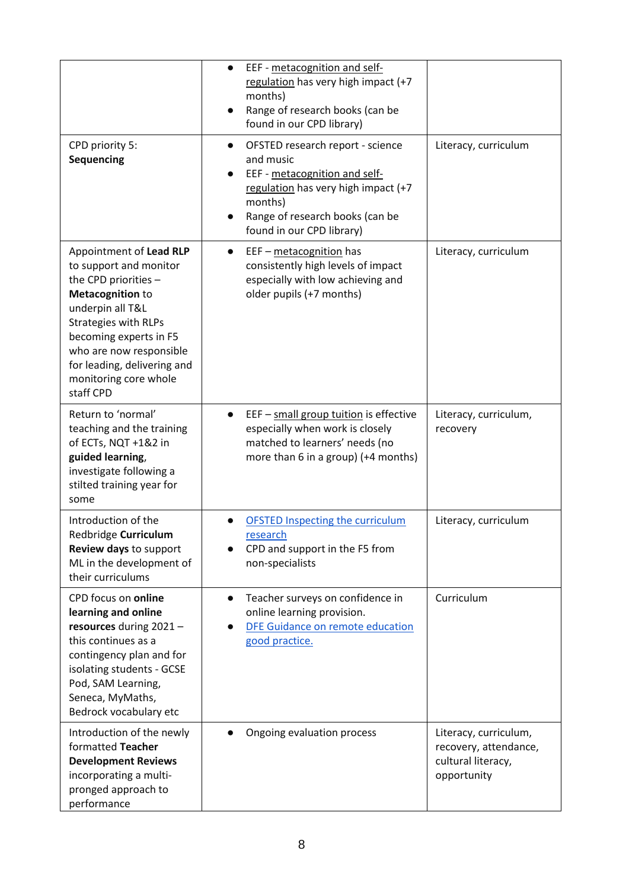|                                                                                                                                                                                                                                                                                   | EEF - metacognition and self-<br>$\bullet$<br>regulation has very high impact (+7<br>months)<br>Range of research books (can be<br>found in our CPD library)                                                  |                                                                                     |
|-----------------------------------------------------------------------------------------------------------------------------------------------------------------------------------------------------------------------------------------------------------------------------------|---------------------------------------------------------------------------------------------------------------------------------------------------------------------------------------------------------------|-------------------------------------------------------------------------------------|
| CPD priority 5:<br>Sequencing                                                                                                                                                                                                                                                     | OFSTED research report - science<br>$\bullet$<br>and music<br>EEF - metacognition and self-<br>regulation has very high impact (+7<br>months)<br>Range of research books (can be<br>found in our CPD library) | Literacy, curriculum                                                                |
| Appointment of Lead RLP<br>to support and monitor<br>the CPD priorities -<br><b>Metacognition to</b><br>underpin all T&L<br><b>Strategies with RLPs</b><br>becoming experts in F5<br>who are now responsible<br>for leading, delivering and<br>monitoring core whole<br>staff CPD | EEF - metacognition has<br>$\bullet$<br>consistently high levels of impact<br>especially with low achieving and<br>older pupils (+7 months)                                                                   | Literacy, curriculum                                                                |
| Return to 'normal'<br>teaching and the training<br>of ECTs, NQT +1&2 in<br>guided learning,<br>investigate following a<br>stilted training year for<br>some                                                                                                                       | EEF - small group tuition is effective<br>$\bullet$<br>especially when work is closely<br>matched to learners' needs (no<br>more than 6 in a group) (+4 months)                                               | Literacy, curriculum,<br>recovery                                                   |
| Introduction of the<br>Redbridge Curriculum<br>Review days to support<br>ML in the development of<br>their curriculums                                                                                                                                                            | <b>OFSTED Inspecting the curriculum</b><br>research<br>CPD and support in the F5 from<br>non-specialists                                                                                                      | Literacy, curriculum                                                                |
| CPD focus on online<br>learning and online<br>resources during 2021 -<br>this continues as a<br>contingency plan and for<br>isolating students - GCSE<br>Pod, SAM Learning,<br>Seneca, MyMaths,<br>Bedrock vocabulary etc                                                         | Teacher surveys on confidence in<br>$\bullet$<br>online learning provision.<br>DFE Guidance on remote education<br>$\bullet$<br>good practice.                                                                | Curriculum                                                                          |
| Introduction of the newly<br>formatted Teacher<br><b>Development Reviews</b><br>incorporating a multi-<br>pronged approach to<br>performance                                                                                                                                      | Ongoing evaluation process                                                                                                                                                                                    | Literacy, curriculum,<br>recovery, attendance,<br>cultural literacy,<br>opportunity |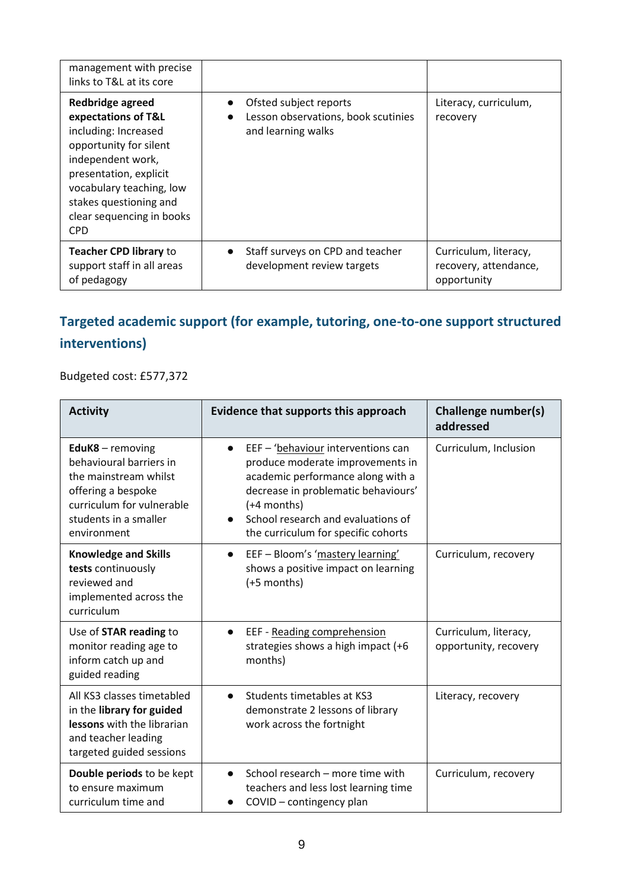| management with precise<br>links to T&L at its core                                                                                                                                                                                       |                                                                                                  |                                                               |
|-------------------------------------------------------------------------------------------------------------------------------------------------------------------------------------------------------------------------------------------|--------------------------------------------------------------------------------------------------|---------------------------------------------------------------|
| Redbridge agreed<br>expectations of T&L<br>including: Increased<br>opportunity for silent<br>independent work,<br>presentation, explicit<br>vocabulary teaching, low<br>stakes questioning and<br>clear sequencing in books<br><b>CPD</b> | Ofsted subject reports<br>Lesson observations, book scutinies<br>$\bullet$<br>and learning walks | Literacy, curriculum,<br>recovery                             |
| <b>Teacher CPD library to</b><br>support staff in all areas<br>of pedagogy                                                                                                                                                                | Staff surveys on CPD and teacher<br>$\bullet$<br>development review targets                      | Curriculum, literacy,<br>recovery, attendance,<br>opportunity |

# **Targeted academic support (for example, tutoring, one-to-one support structured interventions)**

Budgeted cost: £577,372

| <b>Activity</b>                                                                                                                                                 | <b>Evidence that supports this approach</b>                                                                                                                                                                                                                   | <b>Challenge number(s)</b><br>addressed        |
|-----------------------------------------------------------------------------------------------------------------------------------------------------------------|---------------------------------------------------------------------------------------------------------------------------------------------------------------------------------------------------------------------------------------------------------------|------------------------------------------------|
| EduK8 - removing<br>behavioural barriers in<br>the mainstream whilst<br>offering a bespoke<br>curriculum for vulnerable<br>students in a smaller<br>environment | EEF - 'behaviour interventions can<br>$\bullet$<br>produce moderate improvements in<br>academic performance along with a<br>decrease in problematic behaviours'<br>$(+4$ months)<br>School research and evaluations of<br>the curriculum for specific cohorts | Curriculum, Inclusion                          |
| <b>Knowledge and Skills</b><br>tests continuously<br>reviewed and<br>implemented across the<br>curriculum                                                       | EEF - Bloom's 'mastery learning'<br>$\bullet$<br>shows a positive impact on learning<br>(+5 months)                                                                                                                                                           | Curriculum, recovery                           |
| Use of STAR reading to<br>monitor reading age to<br>inform catch up and<br>guided reading                                                                       | EEF - Reading comprehension<br>$\bullet$<br>strategies shows a high impact (+6<br>months)                                                                                                                                                                     | Curriculum, literacy,<br>opportunity, recovery |
| All KS3 classes timetabled<br>in the library for guided<br>lessons with the librarian<br>and teacher leading<br>targeted guided sessions                        | Students timetables at KS3<br>$\bullet$<br>demonstrate 2 lessons of library<br>work across the fortnight                                                                                                                                                      | Literacy, recovery                             |
| Double periods to be kept<br>to ensure maximum<br>curriculum time and                                                                                           | School research – more time with<br>teachers and less lost learning time<br>COVID - contingency plan                                                                                                                                                          | Curriculum, recovery                           |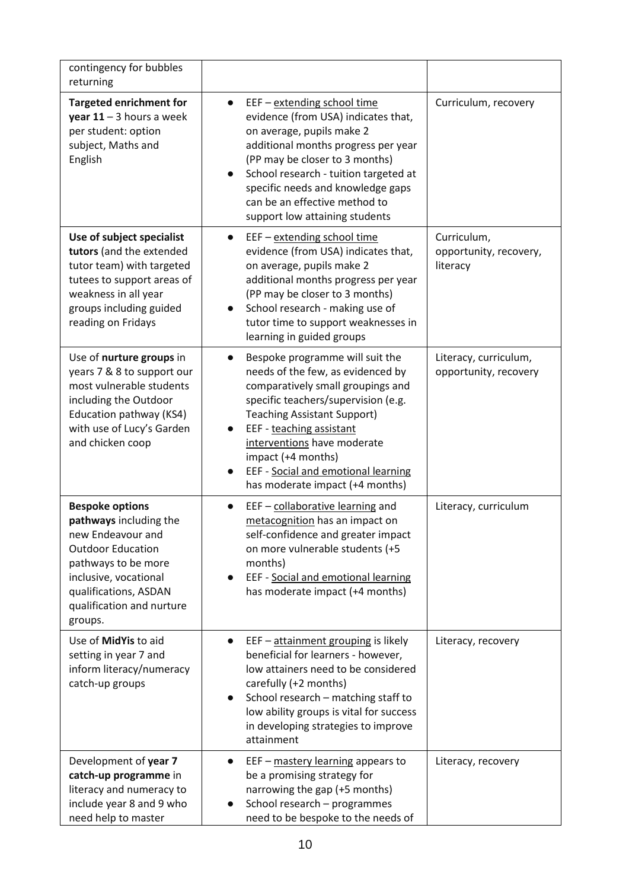| contingency for bubbles<br>returning                                                                                                                                                                               |                                                                                                                                                                                                                                                                                                                                                   |                                                   |
|--------------------------------------------------------------------------------------------------------------------------------------------------------------------------------------------------------------------|---------------------------------------------------------------------------------------------------------------------------------------------------------------------------------------------------------------------------------------------------------------------------------------------------------------------------------------------------|---------------------------------------------------|
| <b>Targeted enrichment for</b><br>year $11 - 3$ hours a week<br>per student: option<br>subject, Maths and<br>English                                                                                               | EEF - extending school time<br>$\bullet$<br>evidence (from USA) indicates that,<br>on average, pupils make 2<br>additional months progress per year<br>(PP may be closer to 3 months)<br>School research - tuition targeted at<br>specific needs and knowledge gaps<br>can be an effective method to<br>support low attaining students            | Curriculum, recovery                              |
| Use of subject specialist<br>tutors (and the extended<br>tutor team) with targeted<br>tutees to support areas of<br>weakness in all year<br>groups including guided<br>reading on Fridays                          | EEF - extending school time<br>$\bullet$<br>evidence (from USA) indicates that,<br>on average, pupils make 2<br>additional months progress per year<br>(PP may be closer to 3 months)<br>School research - making use of<br>tutor time to support weaknesses in<br>learning in guided groups                                                      | Curriculum,<br>opportunity, recovery,<br>literacy |
| Use of nurture groups in<br>years 7 & 8 to support our<br>most vulnerable students<br>including the Outdoor<br>Education pathway (KS4)<br>with use of Lucy's Garden<br>and chicken coop                            | Bespoke programme will suit the<br>needs of the few, as evidenced by<br>comparatively small groupings and<br>specific teachers/supervision (e.g.<br><b>Teaching Assistant Support)</b><br>EEF - teaching assistant<br>interventions have moderate<br>impact (+4 months)<br>EEF - Social and emotional learning<br>has moderate impact (+4 months) | Literacy, curriculum,<br>opportunity, recovery    |
| <b>Bespoke options</b><br>pathways including the<br>new Endeavour and<br><b>Outdoor Education</b><br>pathways to be more<br>inclusive, vocational<br>qualifications, ASDAN<br>qualification and nurture<br>groups. | EEF - collaborative learning and<br>$\bullet$<br>metacognition has an impact on<br>self-confidence and greater impact<br>on more vulnerable students (+5<br>months)<br>EEF - Social and emotional learning<br>has moderate impact (+4 months)                                                                                                     | Literacy, curriculum                              |
| Use of MidYis to aid<br>setting in year 7 and<br>inform literacy/numeracy<br>catch-up groups                                                                                                                       | EEF - attainment grouping is likely<br>$\bullet$<br>beneficial for learners - however,<br>low attainers need to be considered<br>carefully (+2 months)<br>School research - matching staff to<br>$\bullet$<br>low ability groups is vital for success<br>in developing strategies to improve<br>attainment                                        | Literacy, recovery                                |
| Development of year 7<br>catch-up programme in<br>literacy and numeracy to<br>include year 8 and 9 who<br>need help to master                                                                                      | EEF - mastery learning appears to<br>$\bullet$<br>be a promising strategy for<br>narrowing the gap (+5 months)<br>School research - programmes<br>need to be bespoke to the needs of                                                                                                                                                              | Literacy, recovery                                |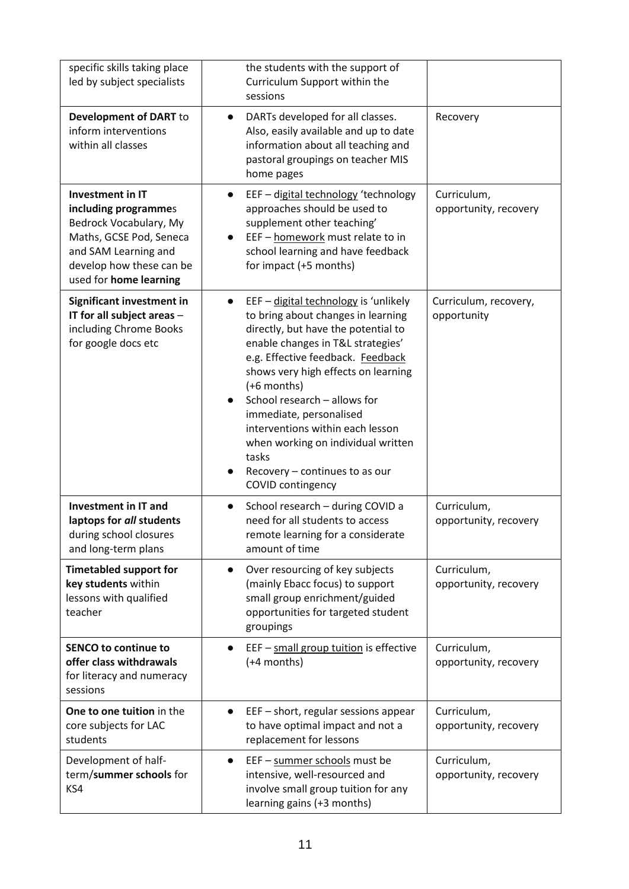| specific skills taking place<br>led by subject specialists                                                                                                                  | the students with the support of<br>Curriculum Support within the<br>sessions                                                                                                                                                                                                                                                                                                                                                                                        |                                      |
|-----------------------------------------------------------------------------------------------------------------------------------------------------------------------------|----------------------------------------------------------------------------------------------------------------------------------------------------------------------------------------------------------------------------------------------------------------------------------------------------------------------------------------------------------------------------------------------------------------------------------------------------------------------|--------------------------------------|
| Development of DART to<br>inform interventions<br>within all classes                                                                                                        | DARTs developed for all classes.<br>$\bullet$<br>Also, easily available and up to date<br>information about all teaching and<br>pastoral groupings on teacher MIS<br>home pages                                                                                                                                                                                                                                                                                      | Recovery                             |
| Investment in IT<br>including programmes<br>Bedrock Vocabulary, My<br>Maths, GCSE Pod, Seneca<br>and SAM Learning and<br>develop how these can be<br>used for home learning | EEF - digital technology 'technology<br>$\bullet$<br>approaches should be used to<br>supplement other teaching'<br>EEF - homework must relate to in<br>$\bullet$<br>school learning and have feedback<br>for impact (+5 months)                                                                                                                                                                                                                                      | Curriculum,<br>opportunity, recovery |
| <b>Significant investment in</b><br>IT for all subject areas -<br>including Chrome Books<br>for google docs etc                                                             | EEF - digital technology is 'unlikely<br>$\bullet$<br>to bring about changes in learning<br>directly, but have the potential to<br>enable changes in T&L strategies'<br>e.g. Effective feedback. Feedback<br>shows very high effects on learning<br>(+6 months)<br>School research - allows for<br>immediate, personalised<br>interventions within each lesson<br>when working on individual written<br>tasks<br>Recovery - continues to as our<br>COVID contingency | Curriculum, recovery,<br>opportunity |
| <b>Investment in IT and</b><br>laptops for all students<br>during school closures<br>and long-term plans                                                                    | School research - during COVID a<br>$\bullet$<br>need for all students to access<br>remote learning for a considerate<br>amount of time                                                                                                                                                                                                                                                                                                                              | Curriculum,<br>opportunity, recovery |
| <b>Timetabled support for</b><br>key students within<br>lessons with qualified<br>teacher                                                                                   | Over resourcing of key subjects<br>$\bullet$<br>(mainly Ebacc focus) to support<br>small group enrichment/guided<br>opportunities for targeted student<br>groupings                                                                                                                                                                                                                                                                                                  | Curriculum,<br>opportunity, recovery |
| <b>SENCO to continue to</b><br>offer class withdrawals<br>for literacy and numeracy<br>sessions                                                                             | EEF - small group tuition is effective<br>(+4 months)                                                                                                                                                                                                                                                                                                                                                                                                                | Curriculum,<br>opportunity, recovery |
| One to one tuition in the<br>core subjects for LAC<br>students                                                                                                              | EEF - short, regular sessions appear<br>to have optimal impact and not a<br>replacement for lessons                                                                                                                                                                                                                                                                                                                                                                  | Curriculum,<br>opportunity, recovery |
| Development of half-<br>term/summer schools for<br>KS4                                                                                                                      | EEF - summer schools must be<br>$\bullet$<br>intensive, well-resourced and<br>involve small group tuition for any<br>learning gains (+3 months)                                                                                                                                                                                                                                                                                                                      | Curriculum,<br>opportunity, recovery |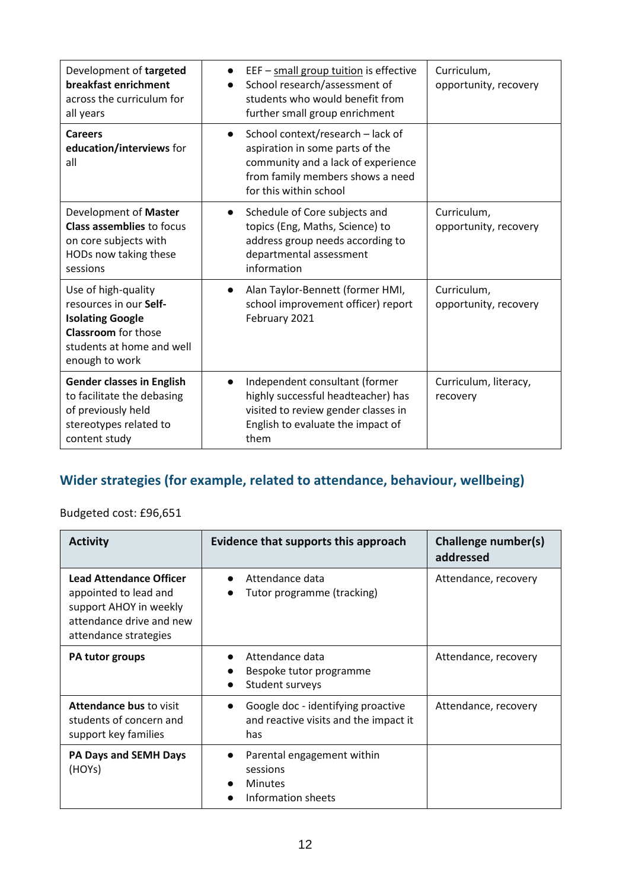| Development of targeted<br>breakfast enrichment<br>across the curriculum for<br>all years                                                             | EEF - small group tuition is effective<br>School research/assessment of<br>students who would benefit from<br>further small group enrichment                                          | Curriculum,<br>opportunity, recovery |
|-------------------------------------------------------------------------------------------------------------------------------------------------------|---------------------------------------------------------------------------------------------------------------------------------------------------------------------------------------|--------------------------------------|
| Careers<br>education/interviews for<br>all                                                                                                            | School context/research - lack of<br>$\bullet$<br>aspiration in some parts of the<br>community and a lack of experience<br>from family members shows a need<br>for this within school |                                      |
| Development of Master<br><b>Class assemblies to focus</b><br>on core subjects with<br>HODs now taking these<br>sessions                               | Schedule of Core subjects and<br>$\bullet$<br>topics (Eng, Maths, Science) to<br>address group needs according to<br>departmental assessment<br>information                           | Curriculum,<br>opportunity, recovery |
| Use of high-quality<br>resources in our Self-<br><b>Isolating Google</b><br><b>Classroom</b> for those<br>students at home and well<br>enough to work | Alan Taylor-Bennett (former HMI,<br>$\bullet$<br>school improvement officer) report<br>February 2021                                                                                  | Curriculum,<br>opportunity, recovery |
| <b>Gender classes in English</b><br>to facilitate the debasing<br>of previously held<br>stereotypes related to<br>content study                       | Independent consultant (former<br>$\bullet$<br>highly successful headteacher) has<br>visited to review gender classes in<br>English to evaluate the impact of<br>them                 | Curriculum, literacy,<br>recovery    |

## **Wider strategies (for example, related to attendance, behaviour, wellbeing)**

Budgeted cost: £96,651

| <b>Activity</b>                                                                                                                        | Evidence that supports this approach                                                                     | Challenge number(s)<br>addressed |
|----------------------------------------------------------------------------------------------------------------------------------------|----------------------------------------------------------------------------------------------------------|----------------------------------|
| <b>Lead Attendance Officer</b><br>appointed to lead and<br>support AHOY in weekly<br>attendance drive and new<br>attendance strategies | Attendance data<br>$\bullet$<br>Tutor programme (tracking)                                               | Attendance, recovery             |
| PA tutor groups                                                                                                                        | Attendance data<br>$\bullet$<br>Bespoke tutor programme<br>$\bullet$<br>Student surveys<br>$\bullet$     | Attendance, recovery             |
| <b>Attendance bus to visit</b><br>students of concern and<br>support key families                                                      | Google doc - identifying proactive<br>$\bullet$<br>and reactive visits and the impact it<br>has          | Attendance, recovery             |
| <b>PA Days and SEMH Days</b><br>(HOYs)                                                                                                 | Parental engagement within<br>$\bullet$<br>sessions<br><b>Minutes</b><br>$\bullet$<br>Information sheets |                                  |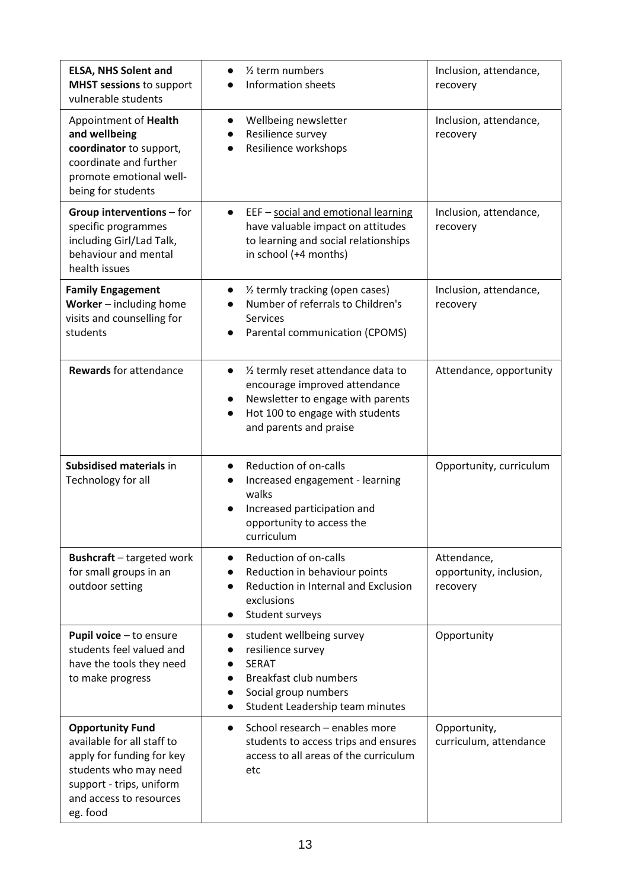| <b>ELSA, NHS Solent and</b><br><b>MHST sessions to support</b><br>vulnerable students                                                                                          | 1/ <sub>2</sub> term numbers<br>$\bullet$<br><b>Information sheets</b>                                                                                                                                        | Inclusion, attendance,<br>recovery                 |
|--------------------------------------------------------------------------------------------------------------------------------------------------------------------------------|---------------------------------------------------------------------------------------------------------------------------------------------------------------------------------------------------------------|----------------------------------------------------|
| Appointment of Health<br>and wellbeing<br>coordinator to support,<br>coordinate and further<br>promote emotional well-<br>being for students                                   | Wellbeing newsletter<br>$\bullet$<br>Resilience survey<br>$\bullet$<br>Resilience workshops                                                                                                                   | Inclusion, attendance,<br>recovery                 |
| Group interventions - for<br>specific programmes<br>including Girl/Lad Talk,<br>behaviour and mental<br>health issues                                                          | EEF - social and emotional learning<br>have valuable impact on attitudes<br>to learning and social relationships<br>in school (+4 months)                                                                     | Inclusion, attendance,<br>recovery                 |
| <b>Family Engagement</b><br>Worker - including home<br>visits and counselling for<br>students                                                                                  | 1/2 termly tracking (open cases)<br>$\bullet$<br>Number of referrals to Children's<br><b>Services</b><br>Parental communication (CPOMS)                                                                       | Inclusion, attendance,<br>recovery                 |
| <b>Rewards for attendance</b>                                                                                                                                                  | 1/2 termly reset attendance data to<br>$\bullet$<br>encourage improved attendance<br>Newsletter to engage with parents<br>$\bullet$<br>Hot 100 to engage with students<br>$\bullet$<br>and parents and praise | Attendance, opportunity                            |
| Subsidised materials in<br>Technology for all                                                                                                                                  | Reduction of on-calls<br>$\bullet$<br>Increased engagement - learning<br>walks<br>Increased participation and<br>opportunity to access the<br>curriculum                                                      | Opportunity, curriculum                            |
| <b>Bushcraft</b> - targeted work<br>for small groups in an<br>outdoor setting                                                                                                  | Reduction of on-calls<br>$\bullet$<br>Reduction in behaviour points<br>$\bullet$<br>Reduction in Internal and Exclusion<br>exclusions<br>Student surveys<br>$\bullet$                                         | Attendance,<br>opportunity, inclusion,<br>recovery |
| Pupil voice - to ensure<br>students feel valued and<br>have the tools they need<br>to make progress                                                                            | student wellbeing survey<br>$\bullet$<br>resilience survey<br><b>SERAT</b><br>$\bullet$<br>Breakfast club numbers<br>Social group numbers<br>Student Leadership team minutes                                  | Opportunity                                        |
| <b>Opportunity Fund</b><br>available for all staff to<br>apply for funding for key<br>students who may need<br>support - trips, uniform<br>and access to resources<br>eg. food | School research - enables more<br>$\bullet$<br>students to access trips and ensures<br>access to all areas of the curriculum<br>etc                                                                           | Opportunity,<br>curriculum, attendance             |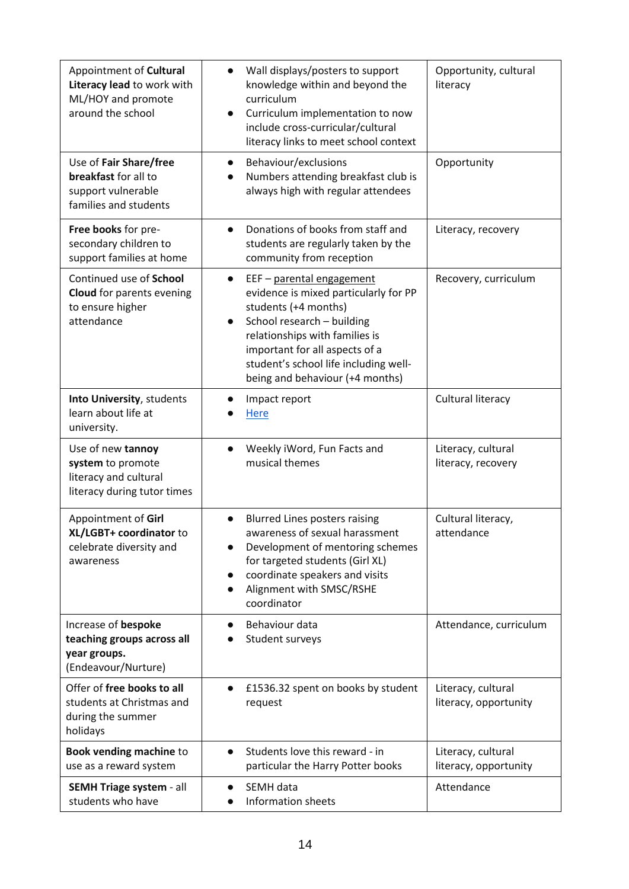| Appointment of Cultural<br>Literacy lead to work with<br>ML/HOY and promote<br>around the school | Wall displays/posters to support<br>$\bullet$<br>knowledge within and beyond the<br>curriculum<br>Curriculum implementation to now<br>$\bullet$<br>include cross-curricular/cultural<br>literacy links to meet school context                                                                      | Opportunity, cultural<br>literacy           |
|--------------------------------------------------------------------------------------------------|----------------------------------------------------------------------------------------------------------------------------------------------------------------------------------------------------------------------------------------------------------------------------------------------------|---------------------------------------------|
| Use of Fair Share/free<br>breakfast for all to<br>support vulnerable<br>families and students    | Behaviour/exclusions<br>$\bullet$<br>Numbers attending breakfast club is<br>$\bullet$<br>always high with regular attendees                                                                                                                                                                        | Opportunity                                 |
| Free books for pre-<br>secondary children to<br>support families at home                         | Donations of books from staff and<br>$\bullet$<br>students are regularly taken by the<br>community from reception                                                                                                                                                                                  | Literacy, recovery                          |
| Continued use of School<br><b>Cloud</b> for parents evening<br>to ensure higher<br>attendance    | EEF - parental engagement<br>$\bullet$<br>evidence is mixed particularly for PP<br>students (+4 months)<br>School research - building<br>$\bullet$<br>relationships with families is<br>important for all aspects of a<br>student's school life including well-<br>being and behaviour (+4 months) | Recovery, curriculum                        |
| Into University, students<br>learn about life at<br>university.                                  | Impact report<br><b>Here</b>                                                                                                                                                                                                                                                                       | Cultural literacy                           |
| Use of new tannoy<br>system to promote<br>literacy and cultural<br>literacy during tutor times   | Weekly iWord, Fun Facts and<br>$\bullet$<br>musical themes                                                                                                                                                                                                                                         | Literacy, cultural<br>literacy, recovery    |
| Appointment of Girl<br>XL/LGBT+ coordinator to<br>celebrate diversity and<br>awareness           | <b>Blurred Lines posters raising</b><br>$\bullet$<br>awareness of sexual harassment<br>Development of mentoring schemes<br>for targeted students (Girl XL)<br>coordinate speakers and visits<br>$\bullet$<br>Alignment with SMSC/RSHE<br>coordinator                                               | Cultural literacy,<br>attendance            |
| Increase of bespoke<br>teaching groups across all<br>year groups.<br>(Endeavour/Nurture)         | Behaviour data<br>Student surveys                                                                                                                                                                                                                                                                  | Attendance, curriculum                      |
| Offer of free books to all<br>students at Christmas and<br>during the summer<br>holidays         | £1536.32 spent on books by student<br>$\bullet$<br>request                                                                                                                                                                                                                                         | Literacy, cultural<br>literacy, opportunity |
| Book vending machine to<br>use as a reward system                                                | Students love this reward - in<br>$\bullet$<br>particular the Harry Potter books                                                                                                                                                                                                                   | Literacy, cultural<br>literacy, opportunity |
| SEMH Triage system - all<br>students who have                                                    | SEMH data<br>Information sheets                                                                                                                                                                                                                                                                    | Attendance                                  |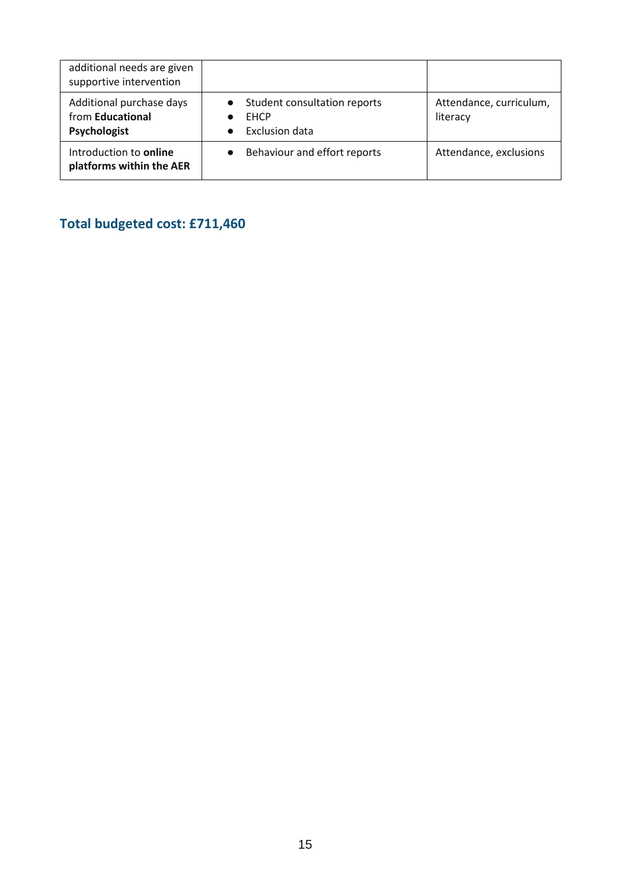| additional needs are given<br>supportive intervention        |                                                                        |                                     |
|--------------------------------------------------------------|------------------------------------------------------------------------|-------------------------------------|
| Additional purchase days<br>from Educational<br>Psychologist | • Student consultation reports<br><b>EHCP</b><br><b>Exclusion data</b> | Attendance, curriculum,<br>literacy |
| Introduction to online<br>platforms within the AER           | Behaviour and effort reports                                           | Attendance, exclusions              |

## **Total budgeted cost: £711,460**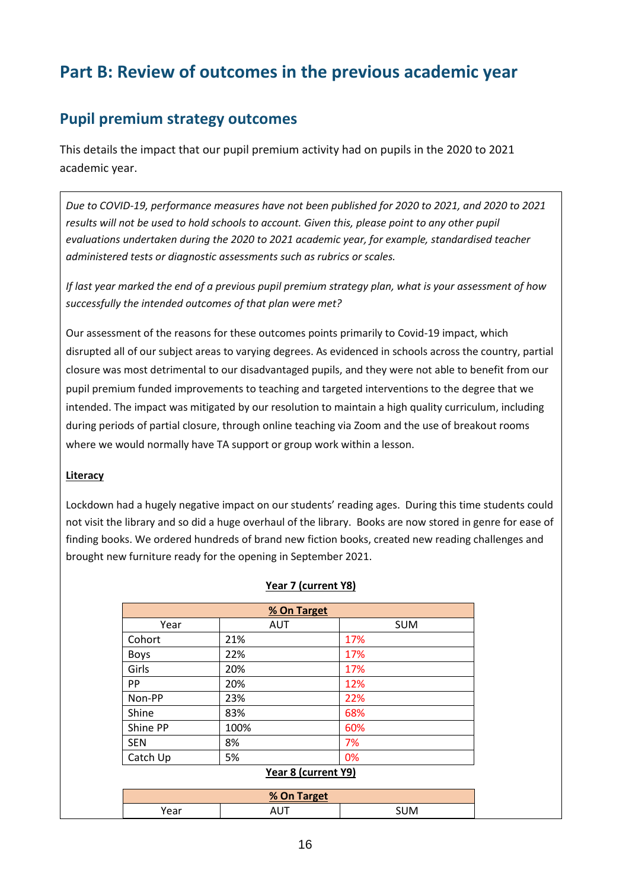# **Part B: Review of outcomes in the previous academic year**

### **Pupil premium strategy outcomes**

This details the impact that our pupil premium activity had on pupils in the 2020 to 2021 academic year.

*Due to COVID-19, performance measures have not been published for 2020 to 2021, and 2020 to 2021 results will not be used to hold schools to account. Given this, please point to any other pupil evaluations undertaken during the 2020 to 2021 academic year, for example, standardised teacher administered tests or diagnostic assessments such as rubrics or scales.*

*If last year marked the end of a previous pupil premium strategy plan, what is your assessment of how successfully the intended outcomes of that plan were met?* 

Our assessment of the reasons for these outcomes points primarily to Covid-19 impact, which disrupted all of our subject areas to varying degrees. As evidenced in schools across the country, partial closure was most detrimental to our disadvantaged pupils, and they were not able to benefit from our pupil premium funded improvements to teaching and targeted interventions to the degree that we intended. The impact was mitigated by our resolution to maintain a high quality curriculum, including during periods of partial closure, through online teaching via Zoom and the use of breakout rooms where we would normally have TA support or group work within a lesson.

#### **Literacy**

Lockdown had a hugely negative impact on our students' reading ages. During this time students could not visit the library and so did a huge overhaul of the library. Books are now stored in genre for ease of finding books. We ordered hundreds of brand new fiction books, created new reading challenges and brought new furniture ready for the opening in September 2021.

| % On Target                                                  |            |            |
|--------------------------------------------------------------|------------|------------|
| Year                                                         | <b>AUT</b> | <b>SUM</b> |
| Cohort                                                       | 21%        | 17%        |
| <b>Boys</b>                                                  | 22%        | 17%        |
| Girls                                                        | 20%        | 17%        |
| <b>PP</b>                                                    | 20%        | 12%        |
| Non-PP                                                       | 23%        | 22%        |
| Shine                                                        | 83%        | 68%        |
| Shine PP                                                     | 100%       | 60%        |
| <b>SEN</b>                                                   | 8%         | 7%         |
| Catch Up                                                     | 5%         | 0%         |
| $V_{\text{max}}$ $\theta$ $I_{\text{max}}$ $\theta$ $\theta$ |            |            |

#### **Year 7 (current Y8)**

#### **Year 8 (current Y9)**

| % On Target |    |            |
|-------------|----|------------|
| ear'        | טר | <b>SUM</b> |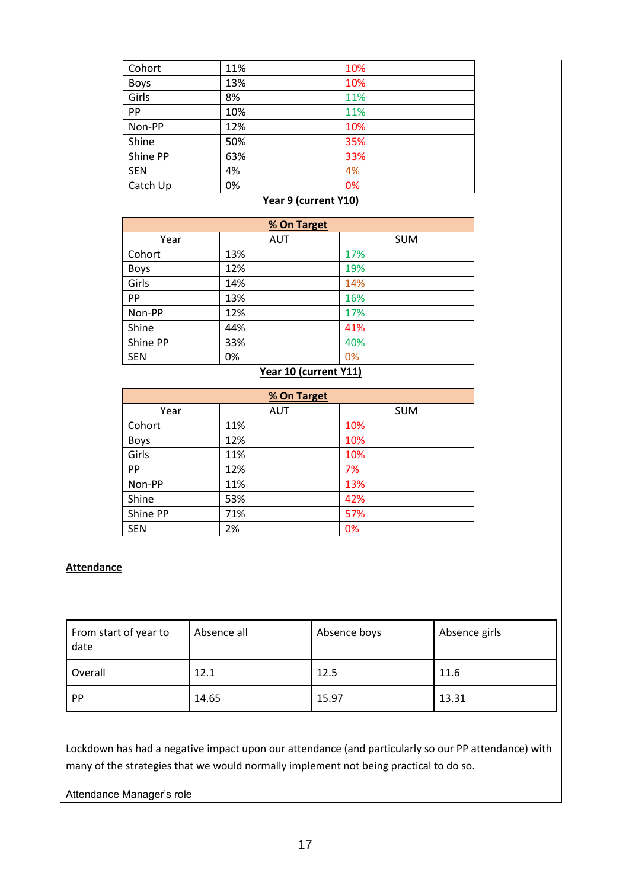| Cohort      | 11% | 10% |  |
|-------------|-----|-----|--|
| <b>Boys</b> | 13% | 10% |  |
| Girls       | 8%  | 11% |  |
| PP          | 10% | 11% |  |
| Non-PP      | 12% | 10% |  |
| Shine       | 50% | 35% |  |
| Shine PP    | 63% | 33% |  |
| <b>SEN</b>  | 4%  | 4%  |  |
| Catch Up    | 0%  | 0%  |  |
|             |     |     |  |

#### **Year 9 (current Y10)**

| % On Target |            |            |
|-------------|------------|------------|
| Year        | <b>AUT</b> | <b>SUM</b> |
| Cohort      | 13%        | 17%        |
| Boys        | 12%        | 19%        |
| Girls       | 14%        | 14%        |
| PP          | 13%        | 16%        |
| Non-PP      | 12%        | 17%        |
| Shine       | 44%        | 41%        |
| Shine PP    | 33%        | 40%        |
| <b>SEN</b>  | 0%         | 0%         |

#### **Year 10 (current Y11)**

| % On Target |            |            |  |
|-------------|------------|------------|--|
| Year        | <b>AUT</b> | <b>SUM</b> |  |
| Cohort      | 11%        | 10%        |  |
| <b>Boys</b> | 12%        | 10%        |  |
| Girls       | 11%        | 10%        |  |
| PP          | 12%        | 7%         |  |
| Non-PP      | 11%        | 13%        |  |
| Shine       | 53%        | 42%        |  |
| Shine PP    | 71%        | 57%        |  |
| <b>SEN</b>  | 2%         | 0%         |  |

#### **Attendance**

| From start of year to<br>date | Absence all | Absence boys | Absence girls |
|-------------------------------|-------------|--------------|---------------|
| Overall                       | 12.1        | 12.5         | 11.6          |
| PP                            | 14.65       | 15.97        | 13.31         |

Lockdown has had a negative impact upon our attendance (and particularly so our PP attendance) with many of the strategies that we would normally implement not being practical to do so.

#### Attendance Manager's role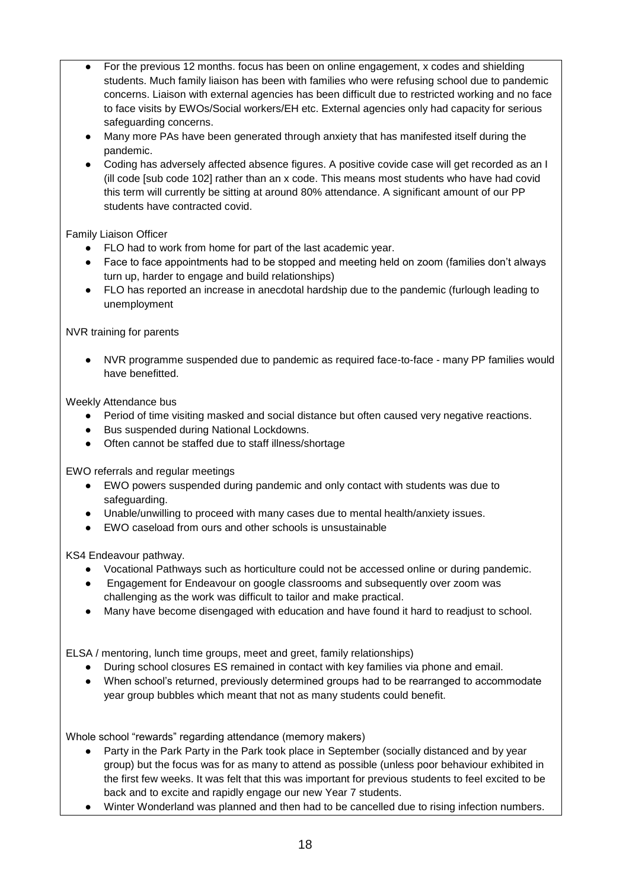- For the previous 12 months. focus has been on online engagement, x codes and shielding students. Much family liaison has been with families who were refusing school due to pandemic concerns. Liaison with external agencies has been difficult due to restricted working and no face to face visits by EWOs/Social workers/EH etc. External agencies only had capacity for serious safeguarding concerns.
- Many more PAs have been generated through anxiety that has manifested itself during the pandemic.
- Coding has adversely affected absence figures. A positive covide case will get recorded as an I (ill code [sub code 102] rather than an x code. This means most students who have had covid this term will currently be sitting at around 80% attendance. A significant amount of our PP students have contracted covid.

Family Liaison Officer

- FLO had to work from home for part of the last academic year.
- Face to face appointments had to be stopped and meeting held on zoom (families don't always turn up, harder to engage and build relationships)
- FLO has reported an increase in anecdotal hardship due to the pandemic (furlough leading to unemployment

NVR training for parents

● NVR programme suspended due to pandemic as required face-to-face - many PP families would have benefitted.

Weekly Attendance bus

- Period of time visiting masked and social distance but often caused very negative reactions.
- Bus suspended during National Lockdowns.
- Often cannot be staffed due to staff illness/shortage

EWO referrals and regular meetings

- EWO powers suspended during pandemic and only contact with students was due to safeguarding.
- Unable/unwilling to proceed with many cases due to mental health/anxiety issues.
- EWO caseload from ours and other schools is unsustainable

KS4 Endeavour pathway.

- Vocational Pathways such as horticulture could not be accessed online or during pandemic.
- Engagement for Endeavour on google classrooms and subsequently over zoom was challenging as the work was difficult to tailor and make practical.
- Many have become disengaged with education and have found it hard to readjust to school.

ELSA / mentoring, lunch time groups, meet and greet, family relationships)

- During school closures ES remained in contact with key families via phone and email.
- When school's returned, previously determined groups had to be rearranged to accommodate year group bubbles which meant that not as many students could benefit.

Whole school "rewards" regarding attendance (memory makers)

- Party in the Park Party in the Park took place in September (socially distanced and by year group) but the focus was for as many to attend as possible (unless poor behaviour exhibited in the first few weeks. It was felt that this was important for previous students to feel excited to be back and to excite and rapidly engage our new Year 7 students.
- Winter Wonderland was planned and then had to be cancelled due to rising infection numbers.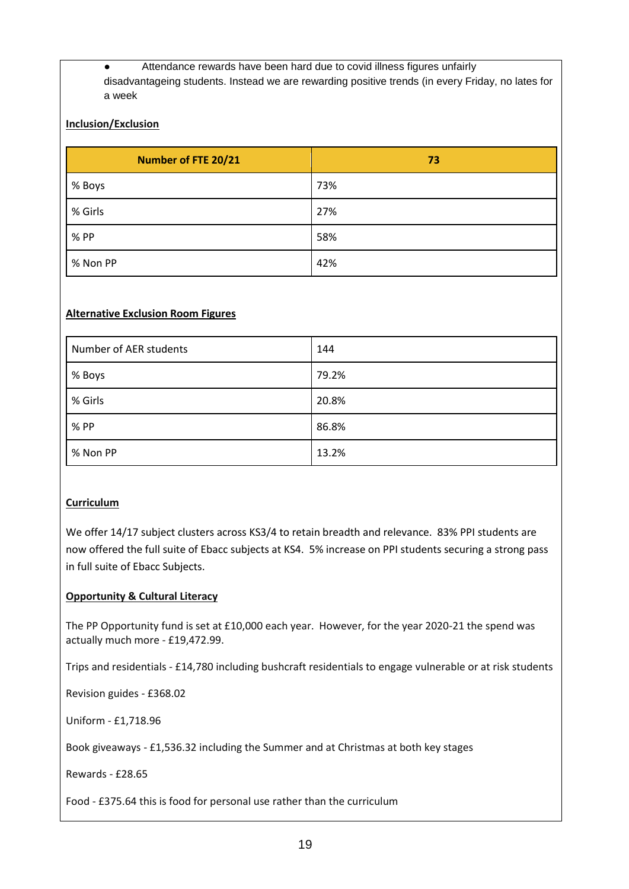● Attendance rewards have been hard due to covid illness figures unfairly disadvantageing students. Instead we are rewarding positive trends (in every Friday, no lates for a week

#### **Inclusion/Exclusion**

| <b>Number of FTE 20/21</b> | 73  |
|----------------------------|-----|
| % Boys                     | 73% |
| % Girls                    | 27% |
| % PP                       | 58% |
| % Non PP                   | 42% |

#### **Alternative Exclusion Room Figures**

| Number of AER students | 144   |
|------------------------|-------|
| % Boys                 | 79.2% |
| % Girls                | 20.8% |
| % PP                   | 86.8% |
| % Non PP               | 13.2% |

#### **Curriculum**

We offer 14/17 subject clusters across KS3/4 to retain breadth and relevance. 83% PPI students are now offered the full suite of Ebacc subjects at KS4. 5% increase on PPI students securing a strong pass in full suite of Ebacc Subjects.

#### **Opportunity & Cultural Literacy**

The PP Opportunity fund is set at £10,000 each year. However, for the year 2020-21 the spend was actually much more - £19,472.99.

Trips and residentials - £14,780 including bushcraft residentials to engage vulnerable or at risk students

Revision guides - £368.02

Uniform - £1,718.96

Book giveaways - £1,536.32 including the Summer and at Christmas at both key stages

Rewards - £28.65

Food - £375.64 this is food for personal use rather than the curriculum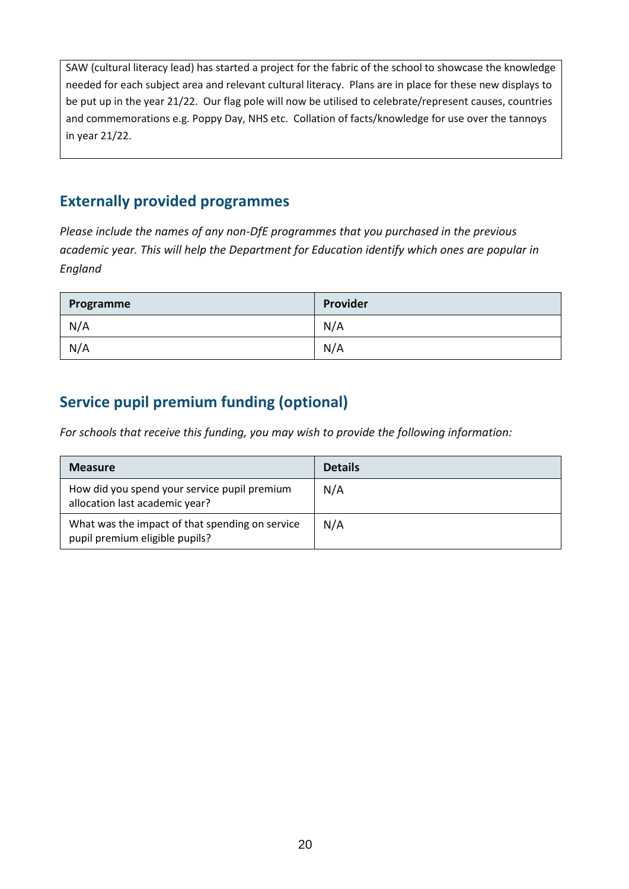SAW (cultural literacy lead) has started a project for the fabric of the school to showcase the knowledge needed for each subject area and relevant cultural literacy. Plans are in place for these new displays to be put up in the year 21/22. Our flag pole will now be utilised to celebrate/represent causes, countries and commemorations e.g. Poppy Day, NHS etc. Collation of facts/knowledge for use over the tannoys in year 21/22.

### **Externally provided programmes**

*Please include the names of any non-DfE programmes that you purchased in the previous academic year. This will help the Department for Education identify which ones are popular in England*

| Programme | Provider |
|-----------|----------|
| N/A       | N/A      |
| N/A       | N/A      |

## **Service pupil premium funding (optional)**

*For schools that receive this funding, you may wish to provide the following information:* 

| <b>Measure</b>                                                                    | <b>Details</b> |
|-----------------------------------------------------------------------------------|----------------|
| How did you spend your service pupil premium<br>allocation last academic year?    | N/A            |
| What was the impact of that spending on service<br>pupil premium eligible pupils? | N/A            |